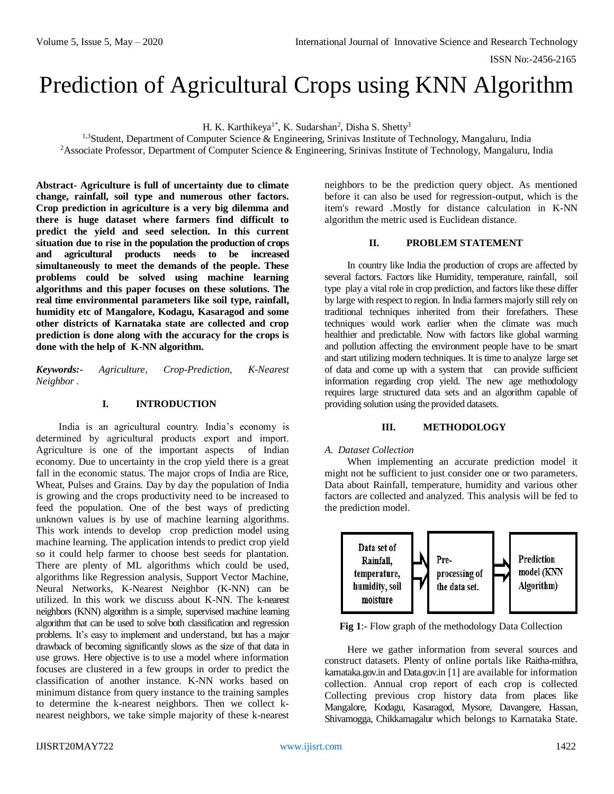# Prediction of Agricultural Crops using KNN Algorithm

H. K. Karthikeya<sup>1\*</sup>, K. Sudarshan<sup>2</sup>, Disha S. Shetty<sup>3</sup>

<sup>1,3</sup>Student, Department of Computer Science & Engineering, Srinivas Institute of Technology, Mangaluru, India <sup>2</sup>Associate Professor, Department of Computer Science & Engineering, Srinivas Institute of Technology, Mangaluru, India

**Abstract- Agriculture is full of uncertainty due to climate change, rainfall, soil type and numerous other factors. Crop prediction in agriculture is a very big dilemma and there is huge dataset where farmers find difficult to predict the yield and seed selection. In this current situation due to rise in the population the production of crops and agricultural products needs to be increased simultaneously to meet the demands of the people. These problems could be solved using machine learning algorithms and this paper focuses on these solutions. The real time environmental parameters like soil type, rainfall, humidity etc of Mangalore, Kodagu, Kasaragod and some other districts of Karnataka state are collected and crop prediction is done along with the accuracy for the crops is done with the help of K-NN algorithm.**

*Keywords:- Agriculture, Crop-Prediction, K-Nearest Neighbor .*

# **I. INTRODUCTION**

India is an agricultural country. India's economy is determined by agricultural products export and import. Agriculture is one of the important aspects of Indian economy. Due to uncertainty in the crop yield there is a great fall in the economic status. The major crops of India are Rice, Wheat, Pulses and Grains. Day by day the population of India is growing and the crops productivity need to be increased to feed the population. One of the best ways of predicting unknown values is by use of machine learning algorithms. This work intends to develop crop prediction model using machine learning. The application intends to predict crop yield so it could help farmer to choose best seeds for plantation. There are plenty of ML algorithms which could be used, algorithms like Regression analysis, Support Vector Machine, Neural Networks, K-Nearest Neighbor (K-NN) can be utilized. In this work we discuss about K-NN. The k-nearest neighbors (KNN) algorithm is a simple, supervised machine learning algorithm that can be used to solve both classification and regression problems. It's easy to implement and understand, but has a major drawback of becoming significantly slows as the size of that data in use grows. Here objective is to use a model where information focuses are clustered in a few groups in order to predict the classification of another instance. K-NN works based on minimum distance from query instance to the training samples to determine the k-nearest neighbors. Then we collect knearest neighbors, we take simple majority of these k-nearest

neighbors to be the prediction query object. As mentioned before it can also be used for regression-output, which is the item's reward .Mostly for distance calculation in K-NN algorithm the metric used is Euclidean distance.

# **II. PROBLEM STATEMENT**

In country like India the production of crops are affected by several factors. Factors like Humidity, temperature, rainfall, soil type play a vital role in crop prediction, and factors like these differ by large with respect to region. In India farmers majorly still rely on traditional techniques inherited from their forefathers. These techniques would work earlier when the climate was much healthier and predictable. Now with factors like global warming and pollution affecting the environment people have to be smart and start utilizing modern techniques. It is time to analyze large set of data and come up with a system that can provide sufficient information regarding crop yield. The new age methodology requires large structured data sets and an algorithm capable of providing solution using the provided datasets.

## **III. METHODOLOGY**

## *A. Dataset Collection*

When implementing an accurate prediction model it might not be sufficient to just consider one or two parameters. Data about Rainfall, temperature, humidity and various other factors are collected and analyzed. This analysis will be fed to the prediction model.



**Fig 1**:- Flow graph of the methodology Data Collection

Here we gather information from several sources and construct datasets. Plenty of online portals like Raitha-mithra, karnataka.gov.in and Data.gov.in [1] are available for information collection. Annual crop report of each crop is collected Collecting previous crop history data from places like Mangalore, Kodagu, Kasaragod, Mysore, Davangere, Hassan, Shivamogga, Chikkamagalur which belongs to Karnataka State.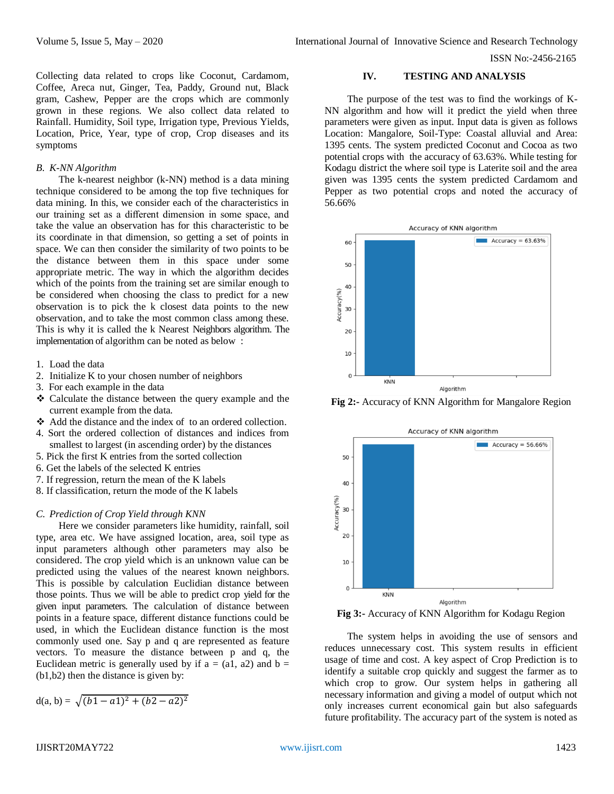Collecting data related to crops like Coconut, Cardamom, Coffee, Areca nut, Ginger, Tea, Paddy, Ground nut, Black gram, Cashew, Pepper are the crops which are commonly grown in these regions. We also collect data related to Rainfall. Humidity, Soil type, Irrigation type, Previous Yields, Location, Price, Year, type of crop, Crop diseases and its symptoms

#### *B. K-NN Algorithm*

The k-nearest neighbor (k-NN) method is a data mining technique considered to be among the top five techniques for data mining. In this, we consider each of the characteristics in our training set as a different dimension in some space, and take the value an observation has for this characteristic to be its coordinate in that dimension, so getting a set of points in space. We can then consider the similarity of two points to be the distance between them in this space under some appropriate metric. The way in which the algorithm decides which of the points from the training set are similar enough to be considered when choosing the class to predict for a new observation is to pick the k closest data points to the new observation, and to take the most common class among these. This is why it is called the k Nearest Neighbors algorithm. The implementation of algorithm can be noted as below :

- 1. Load the data
- 2. Initialize K to your chosen number of neighbors
- 3. For each example in the data
- Calculate the distance between the query example and the current example from the data.
- Add the distance and the index of to an ordered collection.
- 4. Sort the ordered collection of distances and indices from smallest to largest (in ascending order) by the distances
- 5. Pick the first K entries from the sorted collection
- 6. Get the labels of the selected K entries
- 7. If regression, return the mean of the K labels
- 8. If classification, return the mode of the K labels

## *C. Prediction of Crop Yield through KNN*

Here we consider parameters like humidity, rainfall, soil type, area etc. We have assigned location, area, soil type as input parameters although other parameters may also be considered. The crop yield which is an unknown value can be predicted using the values of the nearest known neighbors. This is possible by calculation Euclidian distance between those points. Thus we will be able to predict crop yield for the given input parameters. The calculation of distance between points in a feature space, different distance functions could be used, in which the Euclidean distance function is the most commonly used one. Say p and q are represented as feature vectors. To measure the distance between p and q, the Euclidean metric is generally used by if  $a = (a1, a2)$  and  $b =$ (b1,b2) then the distance is given by:

$$
d(a, b) = \sqrt{(b1 - a1)^2 + (b2 - a2)^2}
$$

#### **IV. TESTING AND ANALYSIS**

The purpose of the test was to find the workings of K-NN algorithm and how will it predict the yield when three parameters were given as input. Input data is given as follows Location: Mangalore, Soil-Type: Coastal alluvial and Area: 1395 cents. The system predicted Coconut and Cocoa as two potential crops with the accuracy of 63.63%. While testing for Kodagu district the where soil type is Laterite soil and the area given was 1395 cents the system predicted Cardamom and Pepper as two potential crops and noted the accuracy of 56.66%



**Fig 2:-** Accuracy of KNN Algorithm for Mangalore Region



**Fig 3:-** Accuracy of KNN Algorithm for Kodagu Region

The system helps in avoiding the use of sensors and reduces unnecessary cost. This system results in efficient usage of time and cost. A key aspect of Crop Prediction is to identify a suitable crop quickly and suggest the farmer as to which crop to grow. Our system helps in gathering all necessary information and giving a model of output which not only increases current economical gain but also safeguards future profitability. The accuracy part of the system is noted as